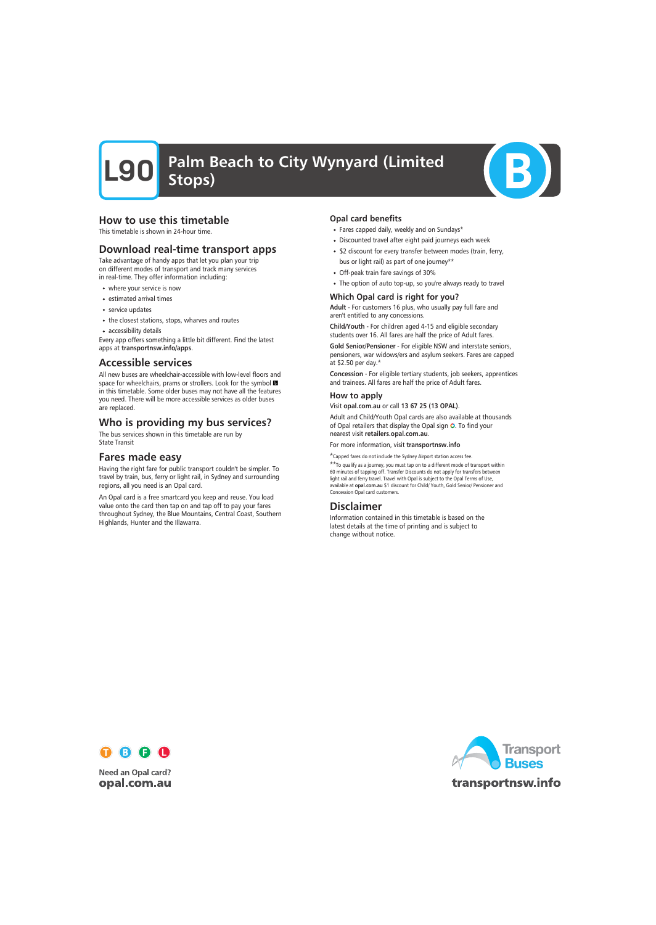

# How to use this timetable

This timetable is shown in 24-hour time.

## Download real-time transport apps

Take advantage of handy apps that let you plan your trip on different modes of transport and track many services in real-time. They offer information including:

- where your service is now
- estimated arrival times
- service updates
- the closest stations, stops, wharves and routes
- accessibility details

Every app offers something a little bit different. Find the latest apps at transportnsw.info/apps.

### Accessible services

All new buses are wheelchair-accessible with low-level floors and space for wheelchairs, prams or strollers. Look for the symbol in this timetable. Some older buses may not have all the features you need. There will be more accessible services as older buses are replaced.

# Who is providing my bus services?

The bus services shown in this timetable are run by State Transit

### Fares made easy

Having the right fare for public transport couldn't be simpler. To travel by train, bus, ferry or light rail, in Sydney and surrounding regions, all you need is an Opal card.

An Opal card is a free smartcard you keep and reuse. You load value onto the card then tap on and tap off to pay your fares throughout Sydney, the Blue Mountains, Central Coast, Southern Highlands, Hunter and the Illawarra.

#### Opal card benefits

- Fares capped daily, weekly and on Sundays\*
- Discounted travel after eight paid journeys each week
- \$2 discount for every transfer between modes (train, ferry, bus or light rail) as part of one journey\*\*
- Off-peak train fare savings of 30%
- The option of auto top-up, so you're always ready to travel

#### Which Opal card is right for you?

Adult - For customers 16 plus, who usually pay full fare and aren't entitled to any concessions.

Child/Youth - For children aged 4-15 and eligible secondary students over 16. All fares are half the price of Adult fares.

Gold Senior/Pensioner - For eligible NSW and interstate seniors, pensioners, war widows/ers and asylum seekers. Fares are capped at \$2.50 per day.\*

Concession - For eligible tertiary students, job seekers, apprentices and trainees. All fares are half the price of Adult fares.

#### How to apply

Visit opal.com.au or call 13 67 25 (13 OPAL).

Adult and Child/Youth Opal cards are also available at thousands of Opal retailers that display the Opal sign O. To find your nearest visit retailers.opal.com.au.

For more information, visit transportnsw.info

\*Capped fares do not include the Sydney Airport station access fee.

\*\*To qualify as a journey, you must tap on to a different mode of transport within 60 minutes of tapping off. Transfer Discounts do not apply for transfers between light rail and ferry travel. Travel with Opal is subject to the Opal Terms of Use, available at opal.com.au \$1 discount for Child/ Youth, Gold Senior/ Pensioner and Concession Opal card customers.

### Disclaimer

Information contained in this timetable is based on the latest details at the time of printing and is subject to change without notice.



**Need an Opal card?** opal.com.au

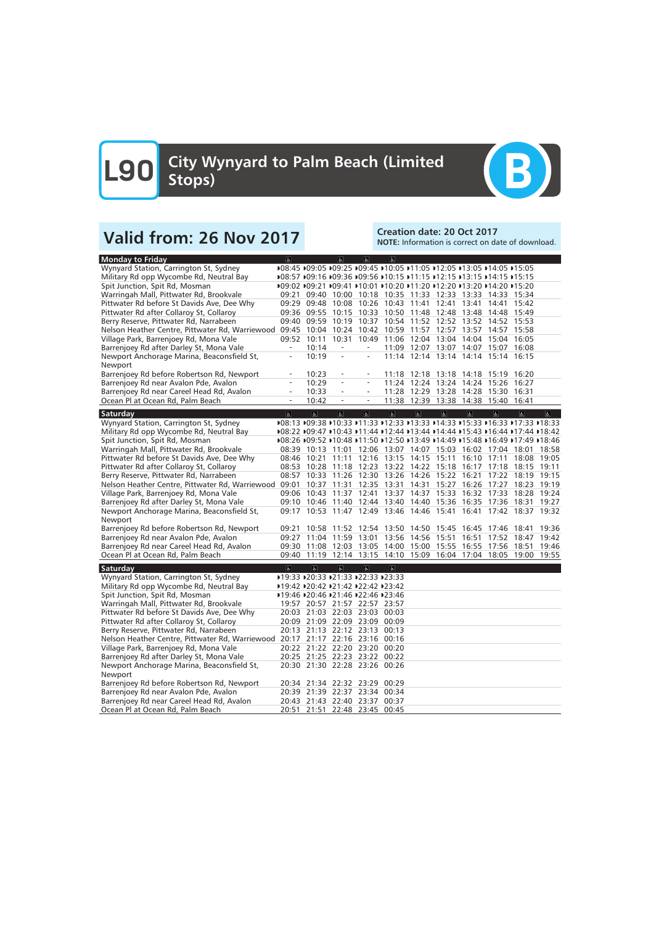**L90** City Wynyard to Palm Beach (Limited<br>Stops)



# Valid from: 26 Nov 2017<br>Note: Information is correct on date: 20 Oct 2017

NOTE: Information is correct on date of download.

| <b>Monday to Friday</b>                               | $\alpha$                 |                | $\overline{a}$                                                               | $\overline{a}$           | $\overline{a}$ |                         |                                           |                         |                     |                   |              |
|-------------------------------------------------------|--------------------------|----------------|------------------------------------------------------------------------------|--------------------------|----------------|-------------------------|-------------------------------------------|-------------------------|---------------------|-------------------|--------------|
| Wynyard Station, Carrington St, Sydney                |                          |                | ▶08:45 ▶09:05 ▶09:25 ▶09:45 ▶10:05 ▶11:05 ▶12:05 ▶13:05 ▶14:05 ▶15:05        |                          |                |                         |                                           |                         |                     |                   |              |
| Military Rd opp Wycombe Rd, Neutral Bay               |                          |                | ▶08:57 ▶09:16 ▶09:36 ▶09:56 ▶10:15 ▶11:15 ▶12:15 ▶13:15 ▶14:15 ▶15:15        |                          |                |                         |                                           |                         |                     |                   |              |
| Spit Junction, Spit Rd, Mosman                        |                          |                | ▶09:02 ▶09:21 ▶09:41 ▶10:01 ▶10:20 ▶11:20 ▶12:20 ▶13:20 ▶14:20 ▶15:20        |                          |                |                         |                                           |                         |                     |                   |              |
| Warringah Mall, Pittwater Rd, Brookvale               |                          |                | 09:21 09:40 10:00 10:18 10:35 11:33 12:33 13:33 14:33 15:34                  |                          |                |                         |                                           |                         |                     |                   |              |
| Pittwater Rd before St Davids Ave, Dee Why            |                          |                | 09:29 09:48 10:08 10:26 10:43 11:41 12:41 13:41                              |                          |                |                         |                                           |                         |                     | 14:41 15:42       |              |
| Pittwater Rd after Collaroy St, Collaroy              |                          |                | 09:36 09:55 10:15 10:33 10:50 11:48 12:48 13:48 14:48 15:49                  |                          |                |                         |                                           |                         |                     |                   |              |
| Berry Reserve, Pittwater Rd, Narrabeen                |                          |                | 09:40 09:59 10:19 10:37 10:54 11:52 12:52 13:52 14:52 15:53                  |                          |                |                         |                                           |                         |                     |                   |              |
| Nelson Heather Centre, Pittwater Rd, Warriewood       | 09:45                    |                | 10:04 10:24 10:42 10:59 11:57 12:57 13:57 14:57 15:58                        |                          |                |                         |                                           |                         |                     |                   |              |
| Village Park, Barrenjoey Rd, Mona Vale                |                          | 09:52 10:11    | 10:31                                                                        |                          |                |                         | 10:49 11:06 12:04 13:04 14:04 15:04 16:05 |                         |                     |                   |              |
| Barrenjoey Rd after Darley St, Mona Vale              |                          | 10:14          | $\equiv$                                                                     |                          |                |                         | 11:09 12:07 13:07 14:07 15:07 16:08       |                         |                     |                   |              |
| Newport Anchorage Marina, Beaconsfield St,            | $\overline{\phantom{a}}$ | 10:19          | ÷,                                                                           | $\overline{\phantom{a}}$ |                |                         | 11:14 12:14 13:14 14:14 15:14 16:15       |                         |                     |                   |              |
| Newport                                               |                          |                |                                                                              |                          |                |                         |                                           |                         |                     |                   |              |
| Barrenjoey Rd before Robertson Rd, Newport            | $\overline{\phantom{a}}$ | 10:23          | $\overline{\phantom{a}}$                                                     | $\overline{\phantom{a}}$ |                |                         | 11:18 12:18 13:18 14:18 15:19 16:20       |                         |                     |                   |              |
| Barrenjoey Rd near Avalon Pde, Avalon                 | $\overline{\phantom{a}}$ | 10:29          | $\equiv$                                                                     | $\overline{\phantom{a}}$ |                |                         | 11:24 12:24 13:24 14:24 15:26 16:27       |                         |                     |                   |              |
| Barrenjoey Rd near Careel Head Rd, Avalon             | $\overline{\phantom{0}}$ | 10:33          | $\overline{\phantom{a}}$                                                     |                          |                |                         | 11:28 12:29 13:28 14:28 15:30 16:31       |                         |                     |                   |              |
| Ocean Pl at Ocean Rd, Palm Beach                      |                          | 10:42          |                                                                              |                          |                |                         | 11:38 12:39 13:38 14:38 15:40 16:41       |                         |                     |                   |              |
|                                                       |                          |                |                                                                              |                          |                |                         |                                           |                         |                     |                   |              |
| Saturday                                              | $\overline{6}$           | $\overline{6}$ | $\overline{\mathbf{r}}$                                                      | $\sigma$                 | $\overline{6}$ | $\overline{\mathbf{c}}$ | $\overline{6}$                            | $\overline{\mathbf{c}}$ | $\overline{\sigma}$ | $\overline{6}$    | $\mathbf{r}$ |
| Wynyard Station, Carrington St, Sydney                |                          |                | ▶08:13 ▶09:38 ▶10:33 ▶11:33 ▶12:33 ▶13:33 ▶14:33 ▶15:33 ▶16:33 ▶17:33 ▶18:33 |                          |                |                         |                                           |                         |                     |                   |              |
| Military Rd opp Wycombe Rd, Neutral Bay               |                          |                | D08:22 D09:47 D10:43 D11:44 D12:44 D13:44 D14:44 D15:43 D16:44 D17:44 D18:42 |                          |                |                         |                                           |                         |                     |                   |              |
| Spit Junction, Spit Rd, Mosman                        |                          |                | D08:26 D09:52 D10:48 D11:50 D12:50 D13:49 D14:49 D15:48 D16:49 D17:49 D18:46 |                          |                |                         |                                           |                         |                     |                   |              |
| Warringah Mall, Pittwater Rd, Brookvale               |                          |                | 08:39 10:13 11:01 12:06 13:07 14:07 15:03 16:02 17:04 18:01 18:58            |                          |                |                         |                                           |                         |                     |                   |              |
| Pittwater Rd before St Davids Ave, Dee Why            |                          |                | 08:46 10:21 11:11 12:16 13:15 14:15 15:11 16:10 17:11 18:08                  |                          |                |                         |                                           |                         |                     |                   | 19:05        |
| Pittwater Rd after Collaroy St, Collaroy              |                          |                | 08:53 10:28 11:18 12:23 13:22 14:22 15:18 16:17 17:18 18:15 19:11            |                          |                |                         |                                           |                         |                     |                   |              |
| Berry Reserve, Pittwater Rd, Narrabeen                |                          |                | 08:57 10:33 11:26 12:30 13:26 14:26 15:22 16:21                              |                          |                |                         |                                           |                         |                     | 17:22 18:19 19:15 |              |
| Nelson Heather Centre, Pittwater Rd, Warriewood 09:01 |                          |                | 10:37 11:31 12:35 13:31 14:31 15:27 16:26 17:27 18:23 19:19                  |                          |                |                         |                                           |                         |                     |                   |              |
| Village Park, Barrenjoey Rd, Mona Vale                |                          |                | 09:06 10:43 11:37 12:41 13:37 14:37 15:33 16:32 17:33 18:28 19:24            |                          |                |                         |                                           |                         |                     |                   |              |
| Barrenjoey Rd after Darley St, Mona Vale              |                          |                | 09:10 10:46 11:40 12:44 13:40 14:40 15:36                                    |                          |                |                         |                                           |                         | 16:35 17:36 18:31   |                   | 19:27        |
| Newport Anchorage Marina, Beaconsfield St,            |                          |                | 09:17 10:53 11:47 12:49 13:46 14:46 15:41 16:41 17:42 18:37 19:32            |                          |                |                         |                                           |                         |                     |                   |              |
| Newport                                               |                          |                |                                                                              |                          |                |                         |                                           |                         |                     |                   |              |
| Barrenjoey Rd before Robertson Rd, Newport            | 09:21                    |                | 10:58 11:52 12:54 13:50 14:50 15:45 16:45                                    |                          |                |                         |                                           |                         | 17:46 18:41         |                   | 19:36        |
| Barrenjoey Rd near Avalon Pde, Avalon                 | 09:27                    |                | 11:04 11:59 13:01 13:56 14:56 15:51                                          |                          |                |                         |                                           | 16:51                   |                     | 17:52 18:47       | 19:42        |
| Barrenjoey Rd near Careel Head Rd, Avalon             |                          |                | 09:30 11:08 12:03 13:05 14:00 15:00 15:55 16:55 17:56 18:51                  |                          |                |                         |                                           |                         |                     |                   | 19:46        |
| Ocean Pl at Ocean Rd, Palm Beach                      | 09:40                    |                | 11:19 12:14 13:15 14:10 15:09 16:04 17:04 18:05 19:00 19:55                  |                          |                |                         |                                           |                         |                     |                   |              |
| Saturday                                              | $\sigma$                 | $\sigma$       | $\sigma$                                                                     | $\mathbf{P}$             | $\sigma$       |                         |                                           |                         |                     |                   |              |
| Wynyard Station, Carrington St, Sydney                |                          |                | ▶19:33 ▶20:33 ▶21:33 ▶22:33 ▶23:33                                           |                          |                |                         |                                           |                         |                     |                   |              |
| Military Rd opp Wycombe Rd, Neutral Bay               |                          |                | D19:42 D20:42 D21:42 D22:42 D23:42                                           |                          |                |                         |                                           |                         |                     |                   |              |
| Spit Junction, Spit Rd, Mosman                        |                          |                | 19:46 120:46 121:46 122:46 123:46                                            |                          |                |                         |                                           |                         |                     |                   |              |
| Warringah Mall, Pittwater Rd, Brookvale               |                          |                | 19:57 20:57 21:57 22:57 23:57                                                |                          |                |                         |                                           |                         |                     |                   |              |
| Pittwater Rd before St Davids Ave, Dee Why            |                          |                | 20:03 21:03 22:03 23:03 00:03                                                |                          |                |                         |                                           |                         |                     |                   |              |
|                                                       |                          |                |                                                                              |                          |                |                         |                                           |                         |                     |                   |              |
| Pittwater Rd after Collaroy St, Collaroy              |                          |                | 20:09 21:09 22:09 23:09 00:09<br>20:13 21:13 22:12 23:13 00:13               |                          |                |                         |                                           |                         |                     |                   |              |
| Berry Reserve, Pittwater Rd, Narrabeen                |                          |                |                                                                              |                          |                |                         |                                           |                         |                     |                   |              |
| Nelson Heather Centre, Pittwater Rd, Warriewood       |                          |                | 20:17 21:17 22:16 23:16 00:16                                                |                          |                |                         |                                           |                         |                     |                   |              |
| Village Park, Barrenjoey Rd, Mona Vale                |                          |                | 20:22 21:22 22:20 23:20 00:20                                                |                          |                |                         |                                           |                         |                     |                   |              |
| Barrenjoey Rd after Darley St, Mona Vale              |                          |                | 20:25 21:25 22:23 23:22 00:22                                                |                          |                |                         |                                           |                         |                     |                   |              |
| Newport Anchorage Marina, Beaconsfield St,            |                          |                | 20:30 21:30 22:28 23:26 00:26                                                |                          |                |                         |                                           |                         |                     |                   |              |
| Newport                                               |                          |                |                                                                              |                          |                |                         |                                           |                         |                     |                   |              |
| Barrenjoey Rd before Robertson Rd, Newport            |                          |                | 20:34 21:34 22:32 23:29 00:29                                                |                          |                |                         |                                           |                         |                     |                   |              |
| Barrenjoey Rd near Avalon Pde, Avalon                 |                          |                | 20:39 21:39 22:37 23:34 00:34                                                |                          |                |                         |                                           |                         |                     |                   |              |
| Barrenjoey Rd near Careel Head Rd, Avalon             |                          |                | 20:43 21:43 22:40 23:37 00:37                                                |                          |                |                         |                                           |                         |                     |                   |              |
| Ocean Pl at Ocean Rd, Palm Beach                      |                          |                | 20:51 21:51 22:48 23:45 00:45                                                |                          |                |                         |                                           |                         |                     |                   |              |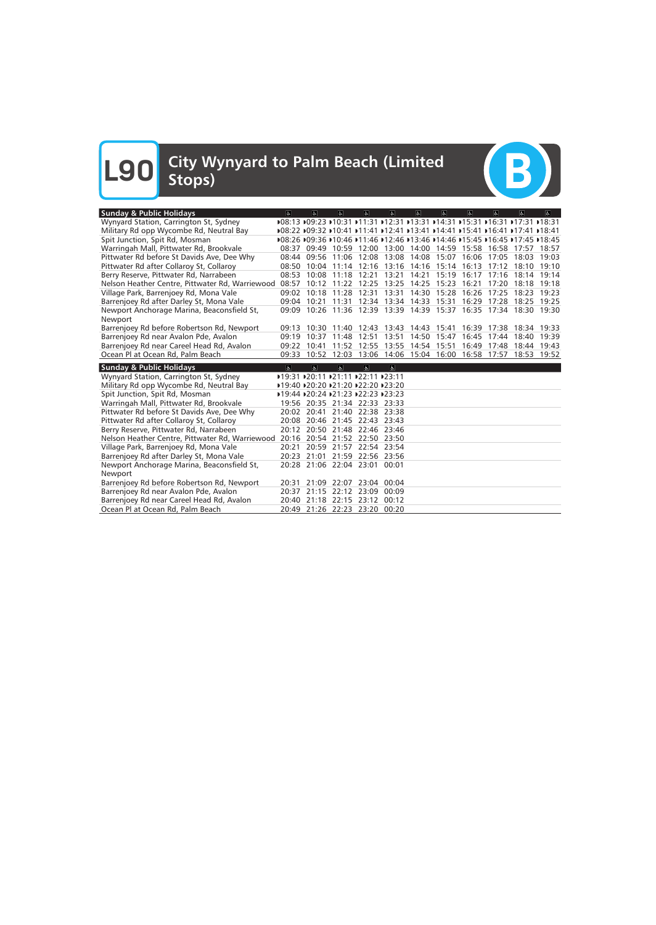# **L90** City Wynyard to Palm Beach (Limited<br>Stops)

 $\left($ B

| <b>Sunday &amp; Public Holidays</b>                                           | $\sigma$       | $\overline{a}$                                                 | $\mathbf{a}$   | $ \mathbf{g} $          | a                                                                            | $\sigma$          | $\sigma$    | $\sigma$ | $ \mathbf{a} $ | $\overline{a}$    | $\overline{a}$    |
|-------------------------------------------------------------------------------|----------------|----------------------------------------------------------------|----------------|-------------------------|------------------------------------------------------------------------------|-------------------|-------------|----------|----------------|-------------------|-------------------|
| Wynyard Station, Carrington St, Sydney                                        |                |                                                                |                |                         | ▶08:13 ▶09:23 ▶10:31 ▶11:31 ▶12:31 ▶13:31 ▶14:31 ▶15:31 ▶16:31 ▶17:31 ▶18:31 |                   |             |          |                |                   |                   |
| Military Rd opp Wycombe Rd, Neutral Bay                                       |                |                                                                |                |                         | D08:22 D09:32 D10:41 D11:41 D12:41 D13:41 D14:41 D15:41 D16:41 D17:41 D18:41 |                   |             |          |                |                   |                   |
| Spit Junction, Spit Rd, Mosman                                                |                |                                                                |                |                         | D08:26 D09:36 D10:46 D11:46 D12:46 D13:46 D14:46 D15:45 D16:45 D17:45 D18:45 |                   |             |          |                |                   |                   |
| Warringah Mall, Pittwater Rd, Brookvale                                       |                |                                                                |                |                         | 08:37 09:49 10:59 12:00 13:00 14:00 14:59 15:58 16:58 17:57 18:57            |                   |             |          |                |                   |                   |
| Pittwater Rd before St Davids Ave, Dee Why                                    |                | 08:44 09:56 11:06                                              |                |                         | 12:08 13:08 14:08 15:07 16:06                                                |                   |             |          | 17:05          |                   | 18:03 19:03       |
| Pittwater Rd after Collaroy St, Collaroy                                      |                |                                                                |                |                         | 08:50 10:04 11:14 12:16 13:16 14:16 15:14 16:13                              |                   |             |          |                |                   | 17:12 18:10 19:10 |
| Berry Reserve, Pittwater Rd, Narrabeen                                        | 08:53          |                                                                | 10:08 11:18    | 12:21                   | 13:21                                                                        | 14:21 15:19       |             | 16:17    | 17:16          |                   | 18:14 19:14       |
| Nelson Heather Centre, Pittwater Rd, Warriewood 08:57                         |                |                                                                |                | 10:12 11:22 12:25       |                                                                              | 13:25 14:25 15:23 |             | 16:21    |                | 17:20 18:18 19:18 |                   |
| Village Park, Barrenjoey Rd, Mona Vale                                        | 09:02          |                                                                | 10:18 11:28    | 12:31                   |                                                                              | 13:31 14:30 15:28 |             | 16:26    | 17:25          |                   | 18:23 19:23       |
| Barrenjoey Rd after Darley St, Mona Vale                                      | 09:04          | 10:21                                                          | 11:31          |                         | 12:34 13:34 14:33 15:31                                                      |                   |             | 16:29    | 17:28          |                   | 18:25 19:25       |
| Newport Anchorage Marina, Beaconsfield St,<br>Newport                         |                |                                                                |                |                         | 09:09 10:26 11:36 12:39 13:39 14:39 15:37 16:35 17:34 18:30 19:30            |                   |             |          |                |                   |                   |
| Barrenjoey Rd before Robertson Rd, Newport                                    |                | 09:13 10:30                                                    | 11:40          | 12:43                   |                                                                              | 13:43 14:43 15:41 |             |          | 16:39 17:38    |                   | 18:34 19:33       |
| Barrenjoey Rd near Avalon Pde, Avalon                                         | 09:19          | 10:37                                                          | 11:48          | 12:51                   | 13:51                                                                        |                   | 14:50 15:47 | 16:45    | 17:44          | 18:40             | 19:39             |
| Barrenjoey Rd near Careel Head Rd, Avalon                                     |                | 09:22 10:41                                                    |                | 11:52 12:55             | 13:55 14:54 15:51                                                            |                   |             | 16:49    | 17:48          |                   | 18:44 19:43       |
| Ocean Pl at Ocean Rd, Palm Beach                                              | 09:33          | 10:52                                                          | 12:03          |                         | 13:06 14:06 15:04 16:00                                                      |                   |             | 16:58    | 17:57          |                   | 18:53 19:52       |
| <b>Sunday &amp; Public Holidays</b>                                           | $\overline{6}$ | $\overline{a}$                                                 | $\overline{a}$ | $\overline{\mathbf{r}}$ | $\overline{6}$                                                               |                   |             |          |                |                   |                   |
| Wynyard Station, Carrington St, Sydney                                        |                | ▶19:31 ▶20:11 ▶21:11 ▶22:11 ▶23:11                             |                |                         |                                                                              |                   |             |          |                |                   |                   |
| Military Rd opp Wycombe Rd, Neutral Bay                                       |                | 19:40 20:20 21:20 22:20 23:20                                  |                |                         |                                                                              |                   |             |          |                |                   |                   |
| Spit Junction, Spit Rd, Mosman                                                |                | 19:44 120:24 121:23 122:23 123:23                              |                |                         |                                                                              |                   |             |          |                |                   |                   |
| Warringah Mall, Pittwater Rd, Brookvale                                       |                | 19:56 20:35 21:34 22:33 23:33                                  |                |                         |                                                                              |                   |             |          |                |                   |                   |
| Pittwater Rd before St Davids Ave, Dee Why                                    |                | 20:02 20:41                                                    |                |                         | 21:40 22:38 23:38                                                            |                   |             |          |                |                   |                   |
| Pittwater Rd after Collaroy St, Collaroy                                      |                | 20:08 20:46 21:45 22:43 23:43                                  |                |                         |                                                                              |                   |             |          |                |                   |                   |
| Berry Reserve, Pittwater Rd, Narrabeen                                        |                | 20:12 20:50 21:48 22:46 23:46                                  |                |                         |                                                                              |                   |             |          |                |                   |                   |
| Nelson Heather Centre, Pittwater Rd, Warriewood                               |                | 20:16 20:54 21:52 22:50 23:50                                  |                |                         |                                                                              |                   |             |          |                |                   |                   |
| Village Park, Barrenjoey Rd, Mona Vale                                        | 20:21          |                                                                |                |                         | 20:59 21:57 22:54 23:54                                                      |                   |             |          |                |                   |                   |
| Barrenjoey Rd after Darley St, Mona Vale                                      | 20:23          |                                                                |                |                         | 21:01 21:59 22:56 23:56                                                      |                   |             |          |                |                   |                   |
| Newport Anchorage Marina, Beaconsfield St,                                    |                | 20:28 21:06 22:04 23:01 00:01                                  |                |                         |                                                                              |                   |             |          |                |                   |                   |
| Newport                                                                       |                |                                                                |                |                         |                                                                              |                   |             |          |                |                   |                   |
| Barrenjoey Rd before Robertson Rd, Newport                                    | 20:31          |                                                                |                |                         | 21:09 22:07 23:04 00:04                                                      |                   |             |          |                |                   |                   |
| Barrenjoey Rd near Avalon Pde, Avalon                                         | 20:37          |                                                                |                | 21:15 22:12 23:09       | 00:09                                                                        |                   |             |          |                |                   |                   |
|                                                                               |                |                                                                |                |                         |                                                                              |                   |             |          |                |                   |                   |
| Barrenjoey Rd near Careel Head Rd, Avalon<br>Ocean Pl at Ocean Rd, Palm Beach |                | 20:40 21:18 22:15 23:12 00:12<br>20:49 21:26 22:23 23:20 00:20 |                |                         |                                                                              |                   |             |          |                |                   |                   |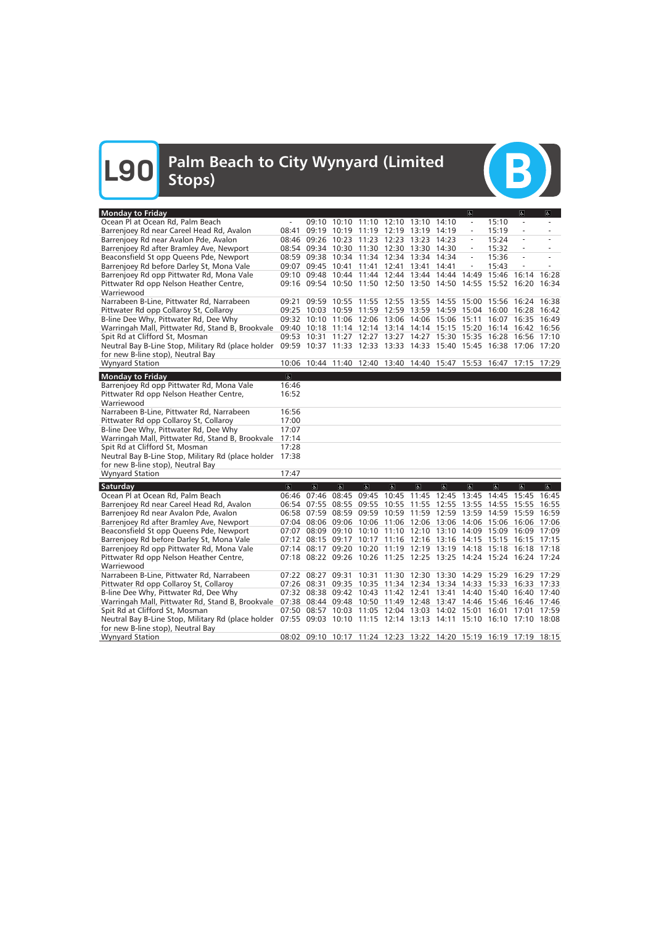# **L90** Palm Beach to City Wynyard (Limited<br>Stops)



| <b>Monday to Friday</b>                                                                                              |                |                   |                                           |                |                          |                         |                                                                   | $\sigma$                 |             | <sub>6</sub>                                                      | $\mathbf{P}$ |
|----------------------------------------------------------------------------------------------------------------------|----------------|-------------------|-------------------------------------------|----------------|--------------------------|-------------------------|-------------------------------------------------------------------|--------------------------|-------------|-------------------------------------------------------------------|--------------|
| Ocean Pl at Ocean Rd, Palm Beach                                                                                     |                |                   | 09:10 10:10 11:10 12:10 13:10 14:10       |                |                          |                         |                                                                   | $\overline{\phantom{a}}$ | 15:10       |                                                                   |              |
| Barrenjoey Rd near Careel Head Rd, Avalon                                                                            | 08:41          | 09:19             | 10:19 11:19 12:19 13:19 14:19             |                |                          |                         |                                                                   | $\overline{\phantom{a}}$ | 15:19       |                                                                   |              |
| Barrenjoey Rd near Avalon Pde, Avalon                                                                                | 08:46          |                   | 09:26 10:23 11:23 12:23 13:23 14:23       |                |                          |                         |                                                                   | $\overline{\phantom{a}}$ | 15:24       |                                                                   |              |
| Barrenjoey Rd after Bramley Ave, Newport                                                                             |                |                   | 08:54 09:34 10:30 11:30 12:30 13:30 14:30 |                |                          |                         |                                                                   | $\overline{\phantom{a}}$ | 15:32       |                                                                   |              |
| Beaconsfield St opp Queens Pde, Newport                                                                              |                | 08:59 09:38 10:34 |                                           |                |                          | 11:34 12:34 13:34 14:34 |                                                                   | $\overline{\phantom{a}}$ | 15:36       |                                                                   |              |
| Barrenjoey Rd before Darley St, Mona Vale                                                                            |                | 09:07 09:45 10:41 |                                           | 11:41          | 12:41 13:41              |                         | 14:41                                                             | $\overline{\phantom{a}}$ | 15:43       |                                                                   |              |
| Barrenjoey Rd opp Pittwater Rd, Mona Vale                                                                            |                | 09:10 09:48 10:44 |                                           |                |                          | 11:44 12:44 13:44 14:44 |                                                                   | 14:49                    | 15:46 16:14 |                                                                   | 16:28        |
| Pittwater Rd opp Nelson Heather Centre,                                                                              |                |                   | 09:16 09:54 10:50 11:50 12:50 13:50 14:50 |                |                          |                         |                                                                   |                          |             | 14:55 15:52 16:20 16:34                                           |              |
| Warriewood                                                                                                           |                |                   |                                           |                |                          |                         |                                                                   |                          |             |                                                                   |              |
| Narrabeen B-Line, Pittwater Rd, Narrabeen                                                                            | 09:21          |                   |                                           |                |                          |                         |                                                                   |                          |             | 09:59 10:55 11:55 12:55 13:55 14:55 15:00 15:56 16:24 16:38       |              |
| Pittwater Rd opp Collaroy St, Collaroy                                                                               |                |                   |                                           |                |                          |                         |                                                                   |                          |             | 09:25 10:03 10:59 11:59 12:59 13:59 14:59 15:04 16:00 16:28 16:42 |              |
| B-line Dee Why, Pittwater Rd, Dee Why                                                                                |                |                   |                                           |                |                          |                         | 09:32 10:10 11:06 12:06 13:06 14:06 15:06 15:11                   |                          |             | 16:07 16:35 16:49                                                 |              |
| Warringah Mall, Pittwater Rd, Stand B, Brookvale 09:40 10:18 11:14 12:14 13:14 14:14 15:15 15:20                     |                |                   |                                           |                |                          |                         |                                                                   |                          |             | 16:14 16:42 16:56                                                 |              |
| Spit Rd at Clifford St, Mosman                                                                                       | 09:53 10:31    |                   | 11:27                                     | 12:27          |                          |                         | 13:27 14:27 15:30 15:35                                           |                          | 16:28       | 16:56 17:10                                                       |              |
| Neutral Bay B-Line Stop, Military Rd (place holder 09:59 10:37 11:33 12:33 13:33 14:33 15:40 15:45 16:38 17:06 17:20 |                |                   |                                           |                |                          |                         |                                                                   |                          |             |                                                                   |              |
| for new B-line stop), Neutral Bay                                                                                    |                |                   |                                           |                |                          |                         |                                                                   |                          |             |                                                                   |              |
| <b>Wynyard Station</b>                                                                                               |                |                   |                                           |                |                          |                         |                                                                   |                          |             | 10:06 10:44 11:40 12:40 13:40 14:40 15:47 15:53 16:47 17:15 17:29 |              |
| <b>Monday to Friday</b>                                                                                              | $\overline{6}$ |                   |                                           |                |                          |                         |                                                                   |                          |             |                                                                   |              |
| Barrenjoey Rd opp Pittwater Rd, Mona Vale                                                                            | 16:46          |                   |                                           |                |                          |                         |                                                                   |                          |             |                                                                   |              |
| Pittwater Rd opp Nelson Heather Centre,                                                                              | 16:52          |                   |                                           |                |                          |                         |                                                                   |                          |             |                                                                   |              |
| Warriewood                                                                                                           |                |                   |                                           |                |                          |                         |                                                                   |                          |             |                                                                   |              |
| Narrabeen B-Line, Pittwater Rd, Narrabeen                                                                            | 16:56          |                   |                                           |                |                          |                         |                                                                   |                          |             |                                                                   |              |
| Pittwater Rd opp Collaroy St, Collaroy                                                                               | 17:00          |                   |                                           |                |                          |                         |                                                                   |                          |             |                                                                   |              |
| B-line Dee Why, Pittwater Rd, Dee Why                                                                                | 17:07          |                   |                                           |                |                          |                         |                                                                   |                          |             |                                                                   |              |
| Warringah Mall, Pittwater Rd, Stand B, Brookvale                                                                     | 17:14          |                   |                                           |                |                          |                         |                                                                   |                          |             |                                                                   |              |
| Spit Rd at Clifford St, Mosman                                                                                       | 17:28          |                   |                                           |                |                          |                         |                                                                   |                          |             |                                                                   |              |
| Neutral Bay B-Line Stop, Military Rd (place holder                                                                   | 17:38          |                   |                                           |                |                          |                         |                                                                   |                          |             |                                                                   |              |
| for new B-line stop), Neutral Bay                                                                                    |                |                   |                                           |                |                          |                         |                                                                   |                          |             |                                                                   |              |
| <b>Wynyard Station</b>                                                                                               | 17:47          |                   |                                           |                |                          |                         |                                                                   |                          |             |                                                                   |              |
| <b>Saturday</b>                                                                                                      | $\sigma$       | $\sigma$          | $\sigma$                                  | $\overline{a}$ | $\vert \mathbf{F} \vert$ | $\sigma$                | $\sigma$                                                          | $\sigma$                 | $\sigma$    | $\sigma$                                                          | $\vert$      |
| Ocean Pl at Ocean Rd, Palm Beach                                                                                     |                |                   | 06:46 07:46 08:45 09:45                   |                | 10:45                    | 11:45                   | 12:45                                                             | 13:45                    | 14:45       | 15:45                                                             | 16:45        |
| Barrenjoey Rd near Careel Head Rd, Avalon                                                                            |                |                   |                                           |                |                          |                         | 06:54 07:55 08:55 09:55 10:55 11:55 12:55 13:55                   |                          | 14:55       | 15:55                                                             | 16:55        |
| Barrenjoey Rd near Avalon Pde, Avalon                                                                                |                |                   |                                           |                |                          |                         | 06:58 07:59 08:59 09:59 10:59 11:59 12:59 13:59 14:59 15:59       |                          |             |                                                                   | 16:59        |
| Barrenjoey Rd after Bramley Ave, Newport                                                                             |                |                   |                                           |                |                          |                         | 07:04 08:06 09:06 10:06 11:06 12:06 13:06 14:06                   |                          |             | 15:06 16:06 17:06                                                 |              |
| Beaconsfield St opp Queens Pde, Newport                                                                              | 07:07          |                   | 08:09 09:10                               |                |                          | 10:10 11:10 12:10 13:10 |                                                                   | 14:09                    | 15:09       | 16:09                                                             | 17:09        |
| Barrenjoey Rd before Darley St, Mona Vale                                                                            |                | 07:12 08:15 09:17 |                                           |                |                          |                         | 10:17 11:16 12:16 13:16 14:15 15:15                               |                          |             | 16:15                                                             | 17:15        |
| Barrenjoey Rd opp Pittwater Rd, Mona Vale                                                                            | 07:14          | 08:17             | 09:20                                     |                |                          |                         |                                                                   |                          |             | 10:20 11:19 12:19 13:19 14:18 15:18 16:18 17:18                   |              |
| Pittwater Rd opp Nelson Heather Centre,                                                                              |                |                   |                                           |                |                          |                         |                                                                   |                          |             | 07:18 08:22 09:26 10:26 11:25 12:25 13:25 14:24 15:24 16:24 17:24 |              |
| Warriewood                                                                                                           |                |                   |                                           |                |                          |                         |                                                                   |                          |             |                                                                   |              |
| Narrabeen B-Line, Pittwater Rd, Narrabeen                                                                            |                | 07:22 08:27 09:31 |                                           | 10:31          |                          |                         |                                                                   |                          |             | 11:30 12:30 13:30 14:29 15:29 16:29 17:29                         |              |
| Pittwater Rd opp Collaroy St, Collaroy                                                                               |                |                   |                                           |                |                          |                         |                                                                   |                          |             | 07:26 08:31 09:35 10:35 11:34 12:34 13:34 14:33 15:33 16:33 17:33 |              |
| B-line Dee Why, Pittwater Rd, Dee Why                                                                                |                |                   |                                           |                |                          |                         |                                                                   |                          |             | 07:32 08:38 09:42 10:43 11:42 12:41 13:41 14:40 15:40 16:40 17:40 |              |
| Warringah Mall, Pittwater Rd, Stand B, Brookvale                                                                     |                |                   |                                           |                |                          |                         |                                                                   |                          |             | 07:38 08:44 09:48 10:50 11:49 12:48 13:47 14:46 15:46 16:46 17:46 |              |
| Spit Rd at Clifford St, Mosman                                                                                       |                |                   |                                           |                |                          |                         |                                                                   |                          |             | 07:50 08:57 10:03 11:05 12:04 13:03 14:02 15:01 16:01 17:01 17:59 |              |
| Neutral Bay B-Line Stop, Military Rd (place holder                                                                   |                |                   |                                           |                |                          |                         |                                                                   |                          |             | 07:55 09:03 10:10 11:15 12:14 13:13 14:11 15:10 16:10 17:10 18:08 |              |
| for new B-line stop), Neutral Bay                                                                                    |                |                   |                                           |                |                          |                         |                                                                   |                          |             |                                                                   |              |
| <b>Wynyard Station</b>                                                                                               |                |                   |                                           |                |                          |                         | 08:02 09:10 10:17 11:24 12:23 13:22 14:20 15:19 16:19 17:19 18:15 |                          |             |                                                                   |              |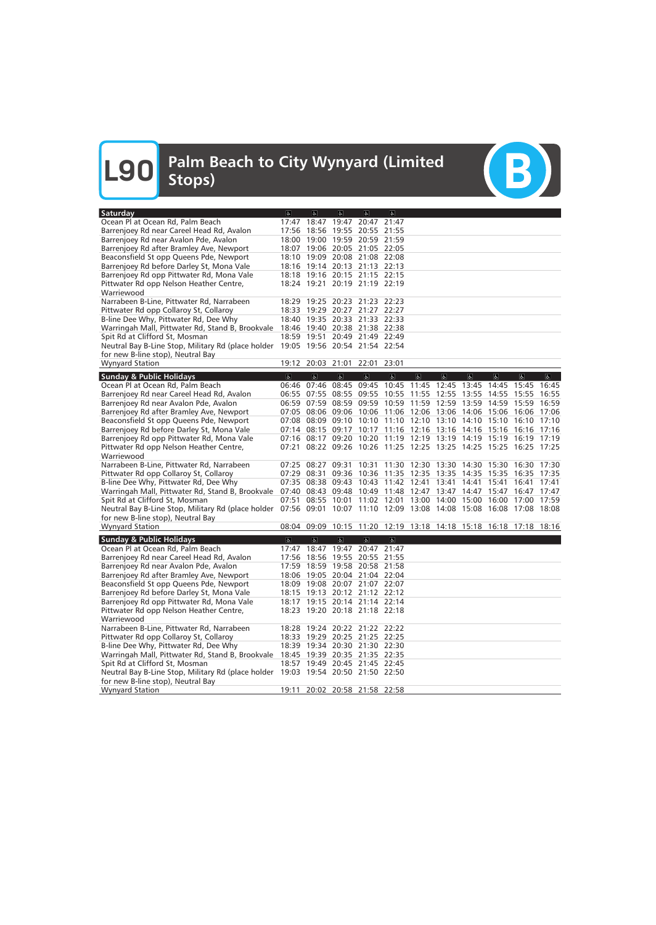# **L90** Palm Beach to City Wynyard (Limited<br>Stops)



| <b>Saturday</b>                                                                                                      | $\sigma$                | $\sigma$                                              | $\vert$                 | d                       | a                       |                               |                |                |                                                                   |                |                          |
|----------------------------------------------------------------------------------------------------------------------|-------------------------|-------------------------------------------------------|-------------------------|-------------------------|-------------------------|-------------------------------|----------------|----------------|-------------------------------------------------------------------|----------------|--------------------------|
| Ocean Pl at Ocean Rd, Palm Beach                                                                                     |                         | 17:47 18:47 19:47 20:47 21:47                         |                         |                         |                         |                               |                |                |                                                                   |                |                          |
| Barrenjoey Rd near Careel Head Rd, Avalon                                                                            |                         | 17:56 18:56 19:55 20:55 21:55                         |                         |                         |                         |                               |                |                |                                                                   |                |                          |
| Barrenjoey Rd near Avalon Pde, Avalon                                                                                |                         | 18:00 19:00 19:59 20:59 21:59                         |                         |                         |                         |                               |                |                |                                                                   |                |                          |
| Barrenjoey Rd after Bramley Ave, Newport                                                                             |                         | 18:07 19:06 20:05 21:05 22:05                         |                         |                         |                         |                               |                |                |                                                                   |                |                          |
| Beaconsfield St opp Queens Pde, Newport                                                                              |                         | 18:10 19:09 20:08 21:08 22:08                         |                         |                         |                         |                               |                |                |                                                                   |                |                          |
| Barrenjoey Rd before Darley St, Mona Vale                                                                            |                         | 18:16 19:14 20:13 21:13 22:13                         |                         |                         |                         |                               |                |                |                                                                   |                |                          |
| Barrenjoey Rd opp Pittwater Rd, Mona Vale                                                                            |                         | 18:18 19:16 20:15 21:15 22:15                         |                         |                         |                         |                               |                |                |                                                                   |                |                          |
| Pittwater Rd opp Nelson Heather Centre,                                                                              |                         | 18:24 19:21 20:19 21:19 22:19                         |                         |                         |                         |                               |                |                |                                                                   |                |                          |
| Warriewood                                                                                                           |                         |                                                       |                         |                         |                         |                               |                |                |                                                                   |                |                          |
| Narrabeen B-Line, Pittwater Rd, Narrabeen                                                                            |                         | 18:29 19:25 20:23 21:23 22:23                         |                         |                         |                         |                               |                |                |                                                                   |                |                          |
| Pittwater Rd opp Collaroy St, Collaroy                                                                               |                         | 18:33 19:29 20:27 21:27 22:27                         |                         |                         |                         |                               |                |                |                                                                   |                |                          |
| B-line Dee Why, Pittwater Rd, Dee Why                                                                                |                         | 18:40 19:35 20:33 21:33 22:33                         |                         |                         |                         |                               |                |                |                                                                   |                |                          |
| Warringah Mall, Pittwater Rd, Stand B, Brookvale 18:46 19:40 20:38 21:38 22:38                                       |                         |                                                       |                         |                         |                         |                               |                |                |                                                                   |                |                          |
| Spit Rd at Clifford St, Mosman                                                                                       |                         | 18:59 19:51 20:49 21:49 22:49                         |                         |                         |                         |                               |                |                |                                                                   |                |                          |
| Neutral Bay B-Line Stop, Military Rd (place holder 19:05 19:56 20:54 21:54 22:54                                     |                         |                                                       |                         |                         |                         |                               |                |                |                                                                   |                |                          |
| for new B-line stop), Neutral Bay                                                                                    |                         |                                                       |                         |                         |                         |                               |                |                |                                                                   |                |                          |
| <b>Wynyard Station</b>                                                                                               |                         | 19:12 20:03 21:01 22:01 23:01                         |                         |                         |                         |                               |                |                |                                                                   |                |                          |
|                                                                                                                      |                         |                                                       |                         |                         |                         |                               |                |                |                                                                   |                |                          |
| <b>Sunday &amp; Public Holidays</b>                                                                                  | $\overline{\mathbf{c}}$ | $\overline{6}$                                        | $\overline{\mathbf{g}}$ | $\overline{\mathbf{r}}$ | $\overline{\mathbb{G}}$ | $\overline{6}$                | $\overline{6}$ | $\overline{a}$ | $\overline{6}$                                                    | $\overline{6}$ | $\overline{\mathcal{P}}$ |
| Ocean Pl at Ocean Rd, Palm Beach                                                                                     |                         | 06:46 07:46 08:45 09:45                               |                         |                         |                         | 10:45 11:45 12:45 13:45 14:45 |                |                |                                                                   | 15:45          | 16:45                    |
| Barrenjoey Rd near Careel Head Rd, Avalon                                                                            |                         | 06:55 07:55 08:55 09:55 10:55 11:55 12:55 13:55 14:55 |                         |                         |                         |                               |                |                |                                                                   | 15:55 16:55    |                          |
| Barrenjoey Rd near Avalon Pde, Avalon                                                                                |                         |                                                       |                         |                         |                         |                               |                |                | 06:59 07:59 08:59 09:59 10:59 11:59 12:59 13:59 14:59 15:59 16:59 |                |                          |
| Barrenjoey Rd after Bramley Ave, Newport                                                                             |                         |                                                       |                         |                         |                         |                               |                |                | 07:05 08:06 09:06 10:06 11:06 12:06 13:06 14:06 15:06 16:06 17:06 |                |                          |
| Beaconsfield St opp Queens Pde, Newport                                                                              |                         |                                                       |                         |                         |                         |                               |                |                | 07:08 08:09 09:10 10:10 11:10 12:10 13:10 14:10 15:10 16:10 17:10 |                |                          |
| Barrenjoey Rd before Darley St, Mona Vale                                                                            |                         |                                                       |                         |                         |                         |                               |                |                | 07:14 08:15 09:17 10:17 11:16 12:16 13:16 14:16 15:16 16:16 17:16 |                |                          |
| Barrenjoey Rd opp Pittwater Rd, Mona Vale                                                                            |                         |                                                       |                         |                         |                         |                               |                |                | 07:16 08:17 09:20 10:20 11:19 12:19 13:19 14:19 15:19 16:19 17:19 |                |                          |
| Pittwater Rd opp Nelson Heather Centre,                                                                              | 07:21                   |                                                       |                         |                         |                         |                               |                |                | 08:22 09:26 10:26 11:25 12:25 13:25 14:25 15:25 16:25 17:25       |                |                          |
| Warriewood                                                                                                           |                         |                                                       |                         |                         |                         |                               |                |                |                                                                   |                |                          |
| Narrabeen B-Line, Pittwater Rd, Narrabeen                                                                            |                         | 07:25 08:27 09:31                                     |                         |                         |                         |                               |                |                | 10:31 11:30 12:30 13:30 14:30 15:30 16:30 17:30                   |                |                          |
| Pittwater Rd opp Collaroy St, Collaroy                                                                               |                         |                                                       |                         |                         |                         |                               |                |                | 07:29 08:31 09:36 10:36 11:35 12:35 13:35 14:35 15:35 16:35 17:35 |                |                          |
| B-line Dee Why, Pittwater Rd, Dee Why                                                                                |                         | 07:35 08:38 09:43 10:43 11:42 12:41 13:41             |                         |                         |                         |                               |                | 14:41          | 15:41                                                             | 16:41          | 17:41                    |
| Warringah Mall, Pittwater Rd, Stand B, Brookvale 07:40 08:43 09:48 10:49 11:48 12:47 13:47 14:47 15:47 16:47 17:47   |                         |                                                       |                         |                         |                         |                               |                |                |                                                                   |                |                          |
| Spit Rd at Clifford St, Mosman                                                                                       |                         |                                                       |                         |                         |                         |                               |                |                | 07:51 08:55 10:01 11:02 12:01 13:00 14:00 15:00 16:00 17:00 17:59 |                |                          |
| Neutral Bay B-Line Stop, Military Rd (place holder 07:56 09:01 10:07 11:10 12:09 13:08 14:08 15:08 16:08 17:08 18:08 |                         |                                                       |                         |                         |                         |                               |                |                |                                                                   |                |                          |
| for new B-line stop), Neutral Bay                                                                                    |                         |                                                       |                         |                         |                         |                               |                |                |                                                                   |                |                          |
| <b>Wynyard Station</b>                                                                                               |                         |                                                       |                         |                         |                         |                               |                |                | 08:04 09:09 10:15 11:20 12:19 13:18 14:18 15:18 16:18 17:18 18:16 |                |                          |
|                                                                                                                      |                         |                                                       |                         |                         |                         |                               |                |                |                                                                   |                |                          |
| <b>Sunday &amp; Public Holidays</b>                                                                                  | $\sigma$                | $\sigma$                                              | $\sigma$                | $\mathbb{P}$            | $\mathbf{a}$            |                               |                |                |                                                                   |                |                          |
| Ocean Pl at Ocean Rd, Palm Beach                                                                                     |                         | 17:47 18:47 19:47 20:47 21:47                         |                         |                         |                         |                               |                |                |                                                                   |                |                          |
| Barrenjoey Rd near Careel Head Rd, Avalon                                                                            |                         | 17:56 18:56 19:55 20:55 21:55                         |                         |                         |                         |                               |                |                |                                                                   |                |                          |
| Barrenjoey Rd near Avalon Pde, Avalon                                                                                |                         | 17:59 18:59 19:58 20:58 21:58                         |                         |                         |                         |                               |                |                |                                                                   |                |                          |
| Barrenjoey Rd after Bramley Ave, Newport                                                                             |                         | 18:06 19:05 20:04 21:04 22:04                         |                         |                         |                         |                               |                |                |                                                                   |                |                          |
| Beaconsfield St opp Queens Pde, Newport                                                                              |                         | 18:09 19:08 20:07 21:07 22:07                         |                         |                         |                         |                               |                |                |                                                                   |                |                          |
| Barrenjoey Rd before Darley St, Mona Vale                                                                            |                         | 18:15 19:13 20:12 21:12 22:12                         |                         |                         |                         |                               |                |                |                                                                   |                |                          |
| Barrenjoey Rd opp Pittwater Rd, Mona Vale                                                                            |                         | 18:17 19:15 20:14 21:14 22:14                         |                         |                         |                         |                               |                |                |                                                                   |                |                          |
| Pittwater Rd opp Nelson Heather Centre,                                                                              |                         | 18:23 19:20 20:18 21:18 22:18                         |                         |                         |                         |                               |                |                |                                                                   |                |                          |
| Warriewood                                                                                                           |                         |                                                       |                         |                         |                         |                               |                |                |                                                                   |                |                          |
| Narrabeen B-Line, Pittwater Rd, Narrabeen                                                                            |                         | 18:28 19:24 20:22 21:22 22:22                         |                         |                         |                         |                               |                |                |                                                                   |                |                          |
| Pittwater Rd opp Collaroy St, Collaroy                                                                               |                         | 18:33 19:29 20:25 21:25 22:25                         |                         |                         |                         |                               |                |                |                                                                   |                |                          |
| B-line Dee Why, Pittwater Rd, Dee Why                                                                                |                         | 18:39 19:34 20:30 21:30 22:30                         |                         |                         |                         |                               |                |                |                                                                   |                |                          |
| Warringah Mall, Pittwater Rd, Stand B, Brookvale                                                                     |                         | 18:45 19:39 20:35 21:35 22:35                         |                         |                         |                         |                               |                |                |                                                                   |                |                          |
| Spit Rd at Clifford St, Mosman                                                                                       |                         | 18:57 19:49 20:45 21:45 22:45                         |                         |                         |                         |                               |                |                |                                                                   |                |                          |
| Neutral Bay B-Line Stop, Military Rd (place holder                                                                   |                         | 19:03 19:54 20:50 21:50 22:50                         |                         |                         |                         |                               |                |                |                                                                   |                |                          |
| for new B-line stop), Neutral Bay                                                                                    |                         |                                                       |                         |                         |                         |                               |                |                |                                                                   |                |                          |
| <b>Wynyard Station</b>                                                                                               |                         | 19:11 20:02 20:58 21:58 22:58                         |                         |                         |                         |                               |                |                |                                                                   |                |                          |
|                                                                                                                      |                         |                                                       |                         |                         |                         |                               |                |                |                                                                   |                |                          |